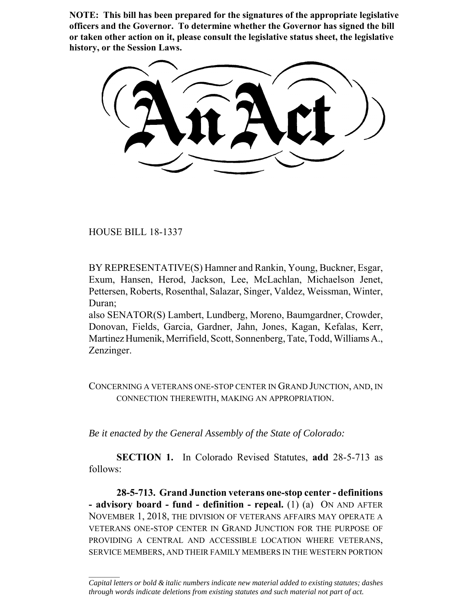**NOTE: This bill has been prepared for the signatures of the appropriate legislative officers and the Governor. To determine whether the Governor has signed the bill or taken other action on it, please consult the legislative status sheet, the legislative history, or the Session Laws.**

HOUSE BILL 18-1337

 $\frac{1}{2}$ 

BY REPRESENTATIVE(S) Hamner and Rankin, Young, Buckner, Esgar, Exum, Hansen, Herod, Jackson, Lee, McLachlan, Michaelson Jenet, Pettersen, Roberts, Rosenthal, Salazar, Singer, Valdez, Weissman, Winter, Duran;

also SENATOR(S) Lambert, Lundberg, Moreno, Baumgardner, Crowder, Donovan, Fields, Garcia, Gardner, Jahn, Jones, Kagan, Kefalas, Kerr, Martinez Humenik, Merrifield, Scott, Sonnenberg, Tate, Todd, Williams A., Zenzinger.

CONCERNING A VETERANS ONE-STOP CENTER IN GRAND JUNCTION, AND, IN CONNECTION THEREWITH, MAKING AN APPROPRIATION.

*Be it enacted by the General Assembly of the State of Colorado:*

**SECTION 1.** In Colorado Revised Statutes, **add** 28-5-713 as follows:

**28-5-713. Grand Junction veterans one-stop center - definitions - advisory board - fund - definition - repeal.** (1) (a) ON AND AFTER NOVEMBER 1, 2018, THE DIVISION OF VETERANS AFFAIRS MAY OPERATE A VETERANS ONE-STOP CENTER IN GRAND JUNCTION FOR THE PURPOSE OF PROVIDING A CENTRAL AND ACCESSIBLE LOCATION WHERE VETERANS, SERVICE MEMBERS, AND THEIR FAMILY MEMBERS IN THE WESTERN PORTION

*Capital letters or bold & italic numbers indicate new material added to existing statutes; dashes through words indicate deletions from existing statutes and such material not part of act.*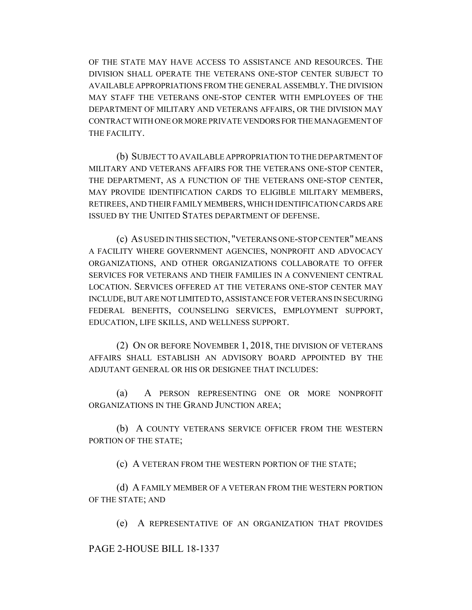OF THE STATE MAY HAVE ACCESS TO ASSISTANCE AND RESOURCES. THE DIVISION SHALL OPERATE THE VETERANS ONE-STOP CENTER SUBJECT TO AVAILABLE APPROPRIATIONS FROM THE GENERAL ASSEMBLY.THE DIVISION MAY STAFF THE VETERANS ONE-STOP CENTER WITH EMPLOYEES OF THE DEPARTMENT OF MILITARY AND VETERANS AFFAIRS, OR THE DIVISION MAY CONTRACT WITH ONE OR MORE PRIVATE VENDORS FOR THE MANAGEMENT OF THE FACILITY.

(b) SUBJECT TO AVAILABLE APPROPRIATION TO THE DEPARTMENT OF MILITARY AND VETERANS AFFAIRS FOR THE VETERANS ONE-STOP CENTER, THE DEPARTMENT, AS A FUNCTION OF THE VETERANS ONE-STOP CENTER, MAY PROVIDE IDENTIFICATION CARDS TO ELIGIBLE MILITARY MEMBERS, RETIREES, AND THEIR FAMILY MEMBERS, WHICH IDENTIFICATION CARDS ARE ISSUED BY THE UNITED STATES DEPARTMENT OF DEFENSE.

(c) AS USED IN THIS SECTION, "VETERANS ONE-STOP CENTER" MEANS A FACILITY WHERE GOVERNMENT AGENCIES, NONPROFIT AND ADVOCACY ORGANIZATIONS, AND OTHER ORGANIZATIONS COLLABORATE TO OFFER SERVICES FOR VETERANS AND THEIR FAMILIES IN A CONVENIENT CENTRAL LOCATION. SERVICES OFFERED AT THE VETERANS ONE-STOP CENTER MAY INCLUDE, BUT ARE NOT LIMITED TO, ASSISTANCE FOR VETERANS IN SECURING FEDERAL BENEFITS, COUNSELING SERVICES, EMPLOYMENT SUPPORT, EDUCATION, LIFE SKILLS, AND WELLNESS SUPPORT.

(2) ON OR BEFORE NOVEMBER 1, 2018, THE DIVISION OF VETERANS AFFAIRS SHALL ESTABLISH AN ADVISORY BOARD APPOINTED BY THE ADJUTANT GENERAL OR HIS OR DESIGNEE THAT INCLUDES:

(a) A PERSON REPRESENTING ONE OR MORE NONPROFIT ORGANIZATIONS IN THE GRAND JUNCTION AREA;

(b) A COUNTY VETERANS SERVICE OFFICER FROM THE WESTERN PORTION OF THE STATE;

(c) A VETERAN FROM THE WESTERN PORTION OF THE STATE;

(d) A FAMILY MEMBER OF A VETERAN FROM THE WESTERN PORTION OF THE STATE; AND

(e) A REPRESENTATIVE OF AN ORGANIZATION THAT PROVIDES

PAGE 2-HOUSE BILL 18-1337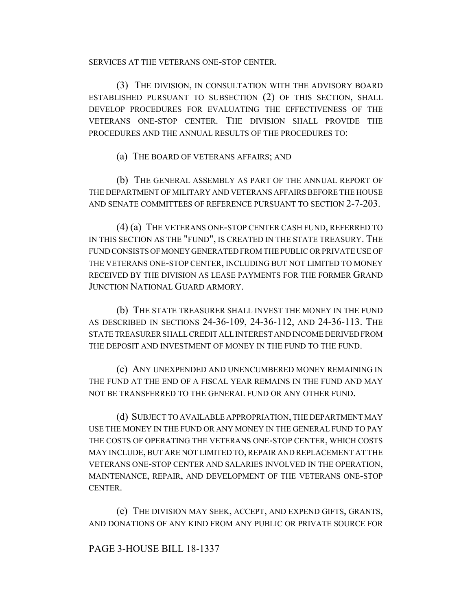SERVICES AT THE VETERANS ONE-STOP CENTER.

(3) THE DIVISION, IN CONSULTATION WITH THE ADVISORY BOARD ESTABLISHED PURSUANT TO SUBSECTION (2) OF THIS SECTION, SHALL DEVELOP PROCEDURES FOR EVALUATING THE EFFECTIVENESS OF THE VETERANS ONE-STOP CENTER. THE DIVISION SHALL PROVIDE THE PROCEDURES AND THE ANNUAL RESULTS OF THE PROCEDURES TO:

(a) THE BOARD OF VETERANS AFFAIRS; AND

(b) THE GENERAL ASSEMBLY AS PART OF THE ANNUAL REPORT OF THE DEPARTMENT OF MILITARY AND VETERANS AFFAIRS BEFORE THE HOUSE AND SENATE COMMITTEES OF REFERENCE PURSUANT TO SECTION 2-7-203.

(4) (a) THE VETERANS ONE-STOP CENTER CASH FUND, REFERRED TO IN THIS SECTION AS THE "FUND", IS CREATED IN THE STATE TREASURY. THE FUND CONSISTS OF MONEY GENERATED FROM THE PUBLIC OR PRIVATE USE OF THE VETERANS ONE-STOP CENTER, INCLUDING BUT NOT LIMITED TO MONEY RECEIVED BY THE DIVISION AS LEASE PAYMENTS FOR THE FORMER GRAND JUNCTION NATIONAL GUARD ARMORY.

(b) THE STATE TREASURER SHALL INVEST THE MONEY IN THE FUND AS DESCRIBED IN SECTIONS 24-36-109, 24-36-112, AND 24-36-113. THE STATE TREASURER SHALL CREDIT ALL INTEREST AND INCOME DERIVED FROM THE DEPOSIT AND INVESTMENT OF MONEY IN THE FUND TO THE FUND.

(c) ANY UNEXPENDED AND UNENCUMBERED MONEY REMAINING IN THE FUND AT THE END OF A FISCAL YEAR REMAINS IN THE FUND AND MAY NOT BE TRANSFERRED TO THE GENERAL FUND OR ANY OTHER FUND.

(d) SUBJECT TO AVAILABLE APPROPRIATION, THE DEPARTMENT MAY USE THE MONEY IN THE FUND OR ANY MONEY IN THE GENERAL FUND TO PAY THE COSTS OF OPERATING THE VETERANS ONE-STOP CENTER, WHICH COSTS MAY INCLUDE, BUT ARE NOT LIMITED TO, REPAIR AND REPLACEMENT AT THE VETERANS ONE-STOP CENTER AND SALARIES INVOLVED IN THE OPERATION, MAINTENANCE, REPAIR, AND DEVELOPMENT OF THE VETERANS ONE-STOP CENTER.

(e) THE DIVISION MAY SEEK, ACCEPT, AND EXPEND GIFTS, GRANTS, AND DONATIONS OF ANY KIND FROM ANY PUBLIC OR PRIVATE SOURCE FOR

## PAGE 3-HOUSE BILL 18-1337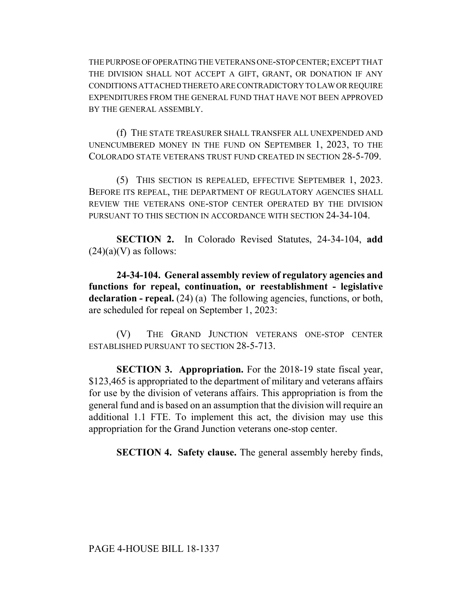THE PURPOSE OF OPERATING THE VETERANS ONE-STOP CENTER; EXCEPT THAT THE DIVISION SHALL NOT ACCEPT A GIFT, GRANT, OR DONATION IF ANY CONDITIONS ATTACHED THERETO ARE CONTRADICTORY TO LAW OR REQUIRE EXPENDITURES FROM THE GENERAL FUND THAT HAVE NOT BEEN APPROVED BY THE GENERAL ASSEMBLY.

(f) THE STATE TREASURER SHALL TRANSFER ALL UNEXPENDED AND UNENCUMBERED MONEY IN THE FUND ON SEPTEMBER 1, 2023, TO THE COLORADO STATE VETERANS TRUST FUND CREATED IN SECTION 28-5-709.

(5) THIS SECTION IS REPEALED, EFFECTIVE SEPTEMBER 1, 2023. BEFORE ITS REPEAL, THE DEPARTMENT OF REGULATORY AGENCIES SHALL REVIEW THE VETERANS ONE-STOP CENTER OPERATED BY THE DIVISION PURSUANT TO THIS SECTION IN ACCORDANCE WITH SECTION 24-34-104.

**SECTION 2.** In Colorado Revised Statutes, 24-34-104, **add**  $(24)(a)(V)$  as follows:

**24-34-104. General assembly review of regulatory agencies and functions for repeal, continuation, or reestablishment - legislative declaration - repeal.** (24) (a) The following agencies, functions, or both, are scheduled for repeal on September 1, 2023:

(V) THE GRAND JUNCTION VETERANS ONE-STOP CENTER ESTABLISHED PURSUANT TO SECTION 28-5-713.

**SECTION 3. Appropriation.** For the 2018-19 state fiscal year, \$123,465 is appropriated to the department of military and veterans affairs for use by the division of veterans affairs. This appropriation is from the general fund and is based on an assumption that the division will require an additional 1.1 FTE. To implement this act, the division may use this appropriation for the Grand Junction veterans one-stop center.

**SECTION 4. Safety clause.** The general assembly hereby finds,